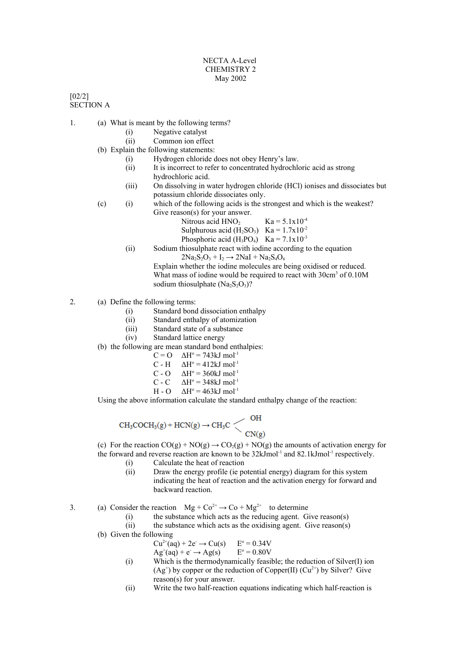## NECTA A-Level CHEMISTRY 2 May 2002

[02/2] SECTION A

- 1. (a) What is meant by the following terms?
	- (i) Negative catalyst
	- (ii) Common ion effect
	- (b) Explain the following statements:
		- (i) Hydrogen chloride does not obey Henry's law.
			- (ii) It is incorrect to refer to concentrated hydrochloric acid as strong hydrochloric acid.
			- (iii) On dissolving in water hydrogen chloride (HCl) ionises and dissociates but potassium chloride dissociates only.
	- (c) (i) which of the following acids is the strongest and which is the weakest? Give reason(s) for your answer.
		- Nitrous acid  $HNO<sub>2</sub>$  Ka = 5.1x10<sup>-4</sup>
		- Sulphurous acid  $(H_2SO_3)$  Ka = 1.7x10<sup>-2</sup>
		- Phosphoric acid  $(H_3PO_4)$  Ka = 7.1x10<sup>-3</sup>
		- (ii) Sodium thiosulphate react with iodine according to the equation  $2Na_2S_2O_3 + I_2 \rightarrow 2NaI + Na_2S_4O_6$

Explain whether the iodine molecules are being oxidised or reduced. What mass of iodine would be required to react with 30cm<sup>3</sup> of 0.10M sodium thiosulphate  $(Na_2S_2O_3)?$ 

2. (a) Define the following terms:

- (i) Standard bond dissociation enthalpy
- (ii) Standard enthalpy of atomization
- (iii) Standard state of a substance
- (iv) Standard lattice energy
- (b) the following are mean standard bond enthalpies:
	- $C = O \quad \Delta H^{\circ} = 743 \text{kJ} \text{ mol}^{-1}$
	- $C H$   $\Delta H^{\circ} = 412 \text{kJ mol}^{-1}$
	- $C O \qquad \Delta H^{\circ} = 360 \text{kJ} \text{ mol}^{-1}$
	- $C C$  $\Delta H^{\circ} = 348 \text{kJ mol}^{-1}$
	- $H O$  $\Delta H^{\circ} = 463 \text{kJ} \text{ mol}^{-1}$

Using the above information calculate the standard enthalpy change of the reaction:

$$
CH_3COCH_3(g) + HCN(g) \to CH_3C \begin{matrix} OH \\ COH_3(g) \end{matrix}
$$

(c) For the reaction  $CO(g) + NO(g) \rightarrow CO_2(g) + NO(g)$  the amounts of activation energy for the forward and reverse reaction are known to be  $32 \text{kJmol}^{-1}$  and  $82.1 \text{kJmol}^{-1}$  respectively.

- (i) Calculate the heat of reaction
- (ii) Draw the energy profile (ie potential energy) diagram for this system indicating the heat of reaction and the activation energy for forward and backward reaction.

3. (a) Consider the reaction  $Mg + Co^{2+} \rightarrow Co + Mg^{2+}$  to determine

- (i) the substance which acts as the reducing agent. Give reason(s)
- (ii) the substance which acts as the oxidising agent. Give reason(s)

(b) Given the following

$$
Cu2+(aq) + 2e \rightarrow Cu(s)
$$
 E<sup>o</sup> = 0.34V  
Ag<sup>+</sup>(aq) + e \rightarrow Ag(s) E<sup>o</sup> = 0.80V

- (i) Which is the thermodynamically feasible; the reduction of Silver(I) ion  $(Ag^+)$  by copper or the reduction of Copper(II)  $(Cu^{2+})$  by Silver? Give reason(s) for your answer.
- (ii) Write the two half-reaction equations indicating which half-reaction is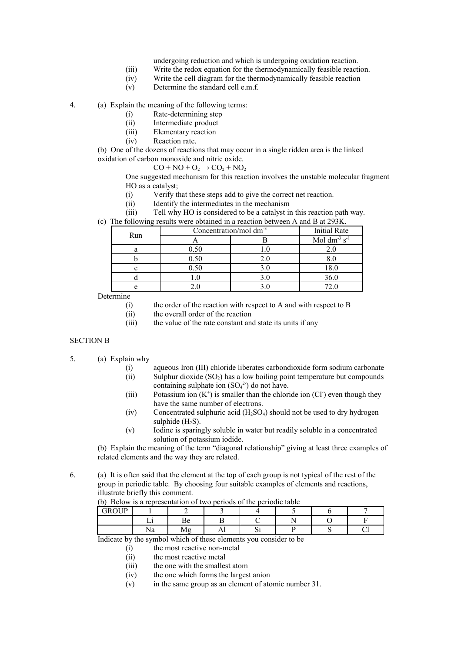- undergoing reduction and which is undergoing oxidation reaction.
- (iii) Write the redox equation for the thermodynamically feasible reaction.
- (iv) Write the cell diagram for the thermodynamically feasible reaction
- (v) Determine the standard cell e.m.f.

4. (a) Explain the meaning of the following terms:

- (i) Rate-determining step
	- (ii) Intermediate product
	- (iii) Elementary reaction
	- (iv) Reaction rate.

(b) One of the dozens of reactions that may occur in a single ridden area is the linked oxidation of carbon monoxide and nitric oxide.

$$
CO + NO + O_2 \rightarrow CO_2 + NO_2
$$

One suggested mechanism for this reaction involves the unstable molecular fragment HO as a catalyst;

- (i) Verify that these steps add to give the correct net reaction.
- (ii) Identify the intermediates in the mechanism
- (iii) Tell why HO is considered to be a catalyst in this reaction path way.
- (c) The following results were obtained in a reaction between A and B at 293K.

| Run | Concentration/mol dm <sup>-3</sup> | <b>Initial Rate</b> |                               |
|-----|------------------------------------|---------------------|-------------------------------|
|     |                                    |                     | Mol dm <sup>-3</sup> $s^{-1}$ |
|     | 0.50                               |                     |                               |
|     | 0.50                               |                     |                               |
|     | 0.50                               |                     | 18.0                          |
|     |                                    |                     | 36.0                          |
|     |                                    |                     |                               |

**Determine** 

- (i) the order of the reaction with respect to A and with respect to B
- (ii) the overall order of the reaction
- (iii) the value of the rate constant and state its units if any

## SECTION B

- 5. (a) Explain why
	- (i) aqueous Iron (III) chloride liberates carbondioxide form sodium carbonate (ii) Sulphur dioxide  $(SO_2)$  has a low boiling point temperature but compounds containing sulphate ion  $(SO<sub>4</sub><sup>2</sup>)$  do not have.
	- (iii) Potassium ion  $(K^+)$  is smaller than the chloride ion  $(Cl)$  even though they have the same number of electrons.
	- (iv) Concentrated sulphuric acid  $(H_2SO_4)$  should not be used to dry hydrogen sulphide  $(H<sub>2</sub>S)$ .
	- (v) Iodine is sparingly soluble in water but readily soluble in a concentrated solution of potassium iodide.

(b) Explain the meaning of the term "diagonal relationship" giving at least three examples of related elements and the way they are related.

6. (a) It is often said that the element at the top of each group is not typical of the rest of the group in periodic table. By choosing four suitable examples of elements and reactions, illustrate briefly this comment.

(b) Below is a representation of two periods of the periodic table

| CDOID<br>тK<br>ັ |                    |                |  |  |
|------------------|--------------------|----------------|--|--|
|                  | ┙≏                 |                |  |  |
|                  | $\sim$<br>. .<br>. | $\overline{1}$ |  |  |

Indicate by the symbol which of these elements you consider to be

- (i) the most reactive non-metal
- (ii) the most reactive metal
- (iii) the one with the smallest atom
- (iv) the one which forms the largest anion
- (v) in the same group as an element of atomic number 31.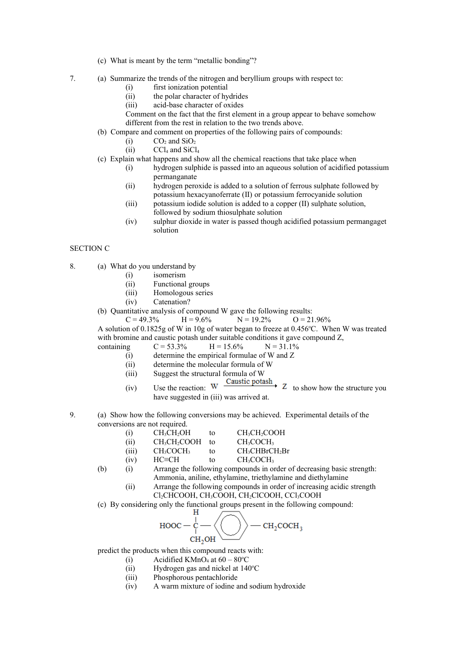- (c) What is meant by the term "metallic bonding"?
- 7. (a) Summarize the trends of the nitrogen and beryllium groups with respect to:
	- (i) first ionization potential
	- (ii) the polar character of hydrides
	- (iii) acid-base character of oxides

Comment on the fact that the first element in a group appear to behave somehow different from the rest in relation to the two trends above.

- (b) Compare and comment on properties of the following pairs of compounds:
	- $(i)$  CO<sub>2</sub> and SiO<sub>2</sub>
	- $(iii)$  CCl<sub>4</sub> and SiCl<sub>4</sub>
- (c) Explain what happens and show all the chemical reactions that take place when
	- (i) hydrogen sulphide is passed into an aqueous solution of acidified potassium permanganate
	- (ii) hydrogen peroxide is added to a solution of ferrous sulphate followed by potassium hexacyanoferrate (II) or potassium ferrocyanide solution
	- (iii) potassium iodide solution is added to a copper (II) sulphate solution, followed by sodium thiosulphate solution
	- (iv) sulphur dioxide in water is passed though acidified potassium permangaget solution

## SECTION C

- 8. (a) What do you understand by
	- (i) isomerism
	- (ii) Functional groups
	- (iii) Homologous series
	- (iv) Catenation?
	- (b) Quantitative analysis of compound W gave the following results:

 $C = 49.3\%$  H = 9.6% N = 19.2% O = 21.96% A solution of 0.1825g of W in 10g of water began to freeze at 0.456°C. When W was treated with bromine and caustic potash under suitable conditions it gave compound Z.

with the following equation for the following equations:

\n
$$
C = 53.3\% \quad H = 15.6\% \quad N = 31.1\%
$$

- (i) determine the empirical formulae of W and Z
- (ii) determine the molecular formula of W
- 
- (iii) Suggest the structural formula of W<br> $\frac{C}{W} \frac{C}{T}$ (iv) Use the reaction:  $W \xrightarrow{\text{Caasar}} P_{\text{Catsar}} \to Z$  to show how the structure you have suggested in (iii) was arrived at.
- 9. (a) Show how the following conversions may be achieved. Experimental details of the conversions are not required.
	- (i)  $CH_3CH_2OH$  to  $CH_3CH_2COOH$ (ii)  $CH_3CH_2COOH$  to  $CH_3COCH_3$
	- (iii)  $CH_3COCH_3$  to  $CH_3CHBrCH_2Br$
	- (iv)  $HC=CH$  to  $CH_3COCH_3$
	- (b) (i) Arrange the following compounds in order of decreasing basic strength: Ammonia, aniline, ethylamine, triethylamine and diethylamine
		- (ii) Arrange the following compounds in order of increasing acidic strength Cl2CHCOOH, CH3COOH, CH2ClCOOH, CCl3COOH
	- (c) By considering only the functional groups present in the following compound:



predict the products when this compound reacts with:

- (i) Acidified KMnO<sub>4</sub> at  $60 80^{\circ}$ C
- (ii) Hydrogen gas and nickel at  $140^{\circ}$ C
- (iii) Phosphorous pentachloride
- (iv) A warm mixture of iodine and sodium hydroxide